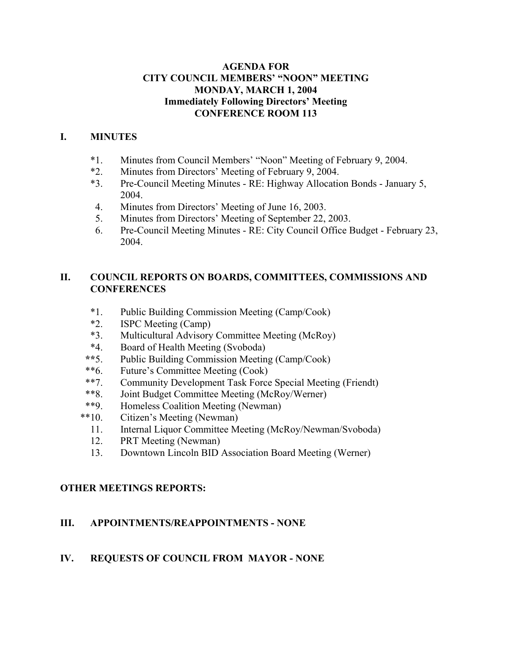## **AGENDA FOR CITY COUNCIL MEMBERS' "NOON" MEETING MONDAY, MARCH 1, 2004 Immediately Following Directors' Meeting CONFERENCE ROOM 113**

## **I. MINUTES**

- \*1. Minutes from Council Members' "Noon" Meeting of February 9, 2004.
- \*2. Minutes from Directors' Meeting of February 9, 2004.
- \*3. Pre-Council Meeting Minutes RE: Highway Allocation Bonds January 5, 2004.
- 4. Minutes from Directors' Meeting of June 16, 2003.
- 5. Minutes from Directors' Meeting of September 22, 2003.
- 6. Pre-Council Meeting Minutes RE: City Council Office Budget February 23, 2004.

## **II. COUNCIL REPORTS ON BOARDS, COMMITTEES, COMMISSIONS AND CONFERENCES**

- \*1. Public Building Commission Meeting (Camp/Cook)
- \*2. ISPC Meeting (Camp)
- \*3. Multicultural Advisory Committee Meeting (McRoy)
- \*4. Board of Health Meeting (Svoboda)
- **\*\***5. Public Building Commission Meeting (Camp/Cook)
- \*\*6. Future's Committee Meeting (Cook)
- \*\*7. Community Development Task Force Special Meeting (Friendt)
- \*\*8. Joint Budget Committee Meeting (McRoy/Werner)
- \*\*9. Homeless Coalition Meeting (Newman)
- \*\*10. Citizen's Meeting (Newman)
	- 11. Internal Liquor Committee Meeting (McRoy/Newman/Svoboda)
	- 12. PRT Meeting (Newman)
	- 13. Downtown Lincoln BID Association Board Meeting (Werner)

## **OTHER MEETINGS REPORTS:**

## **III. APPOINTMENTS/REAPPOINTMENTS - NONE**

## **IV. REQUESTS OF COUNCIL FROM MAYOR - NONE**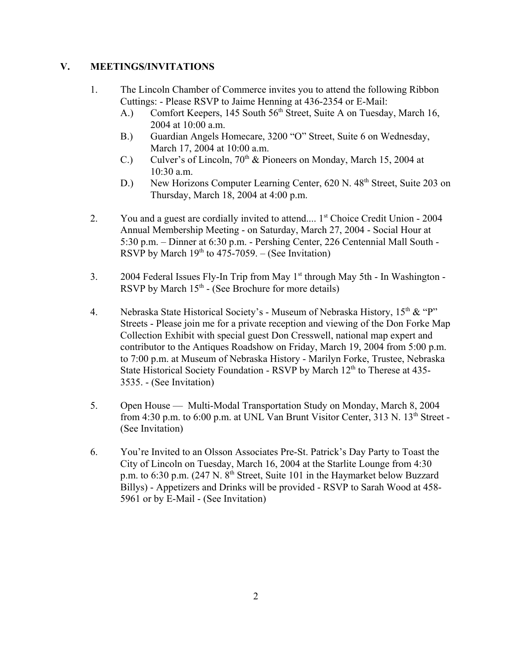## **V. MEETINGS/INVITATIONS**

- 1. The Lincoln Chamber of Commerce invites you to attend the following Ribbon Cuttings: - Please RSVP to Jaime Henning at 436-2354 or E-Mail:
	- A.) Comfort Keepers, 145 South  $56<sup>th</sup>$  Street, Suite A on Tuesday, March 16, 2004 at 10:00 a.m.
	- B.) Guardian Angels Homecare, 3200 "O" Street, Suite 6 on Wednesday, March 17, 2004 at 10:00 a.m.
	- C.) Culver's of Lincoln,  $70<sup>th</sup>$  & Pioneers on Monday, March 15, 2004 at 10:30 a.m.
	- D.) New Horizons Computer Learning Center, 620 N. 48<sup>th</sup> Street, Suite 203 on Thursday, March 18, 2004 at 4:00 p.m.
- 2. You and a guest are cordially invited to attend.... 1<sup>st</sup> Choice Credit Union 2004 Annual Membership Meeting - on Saturday, March 27, 2004 - Social Hour at 5:30 p.m. – Dinner at 6:30 p.m. - Pershing Center, 226 Centennial Mall South - RSVP by March  $19<sup>th</sup>$  to 475-7059. – (See Invitation)
- 3. 2004 Federal Issues Fly-In Trip from May  $1<sup>st</sup>$  through May 5th In Washington -RSVP by March  $15<sup>th</sup>$  - (See Brochure for more details)
- 4. Nebraska State Historical Society's Museum of Nebraska History,  $15<sup>th</sup>$  & "P" Streets - Please join me for a private reception and viewing of the Don Forke Map Collection Exhibit with special guest Don Cresswell, national map expert and contributor to the Antiques Roadshow on Friday, March 19, 2004 from 5:00 p.m. to 7:00 p.m. at Museum of Nebraska History - Marilyn Forke, Trustee, Nebraska State Historical Society Foundation - RSVP by March  $12<sup>th</sup>$  to Therese at 435-3535. - (See Invitation)
- 5. Open House Multi-Modal Transportation Study on Monday, March 8, 2004 from 4:30 p.m. to  $6:00$  p.m. at UNL Van Brunt Visitor Center, 313 N. 13<sup>th</sup> Street -(See Invitation)
- 6. You're Invited to an Olsson Associates Pre-St. Patrick's Day Party to Toast the City of Lincoln on Tuesday, March 16, 2004 at the Starlite Lounge from 4:30 p.m. to  $6:30$  p.m. (247 N.  $8<sup>th</sup>$  Street, Suite 101 in the Haymarket below Buzzard Billys) - Appetizers and Drinks will be provided - RSVP to Sarah Wood at 458- 5961 or by E-Mail - (See Invitation)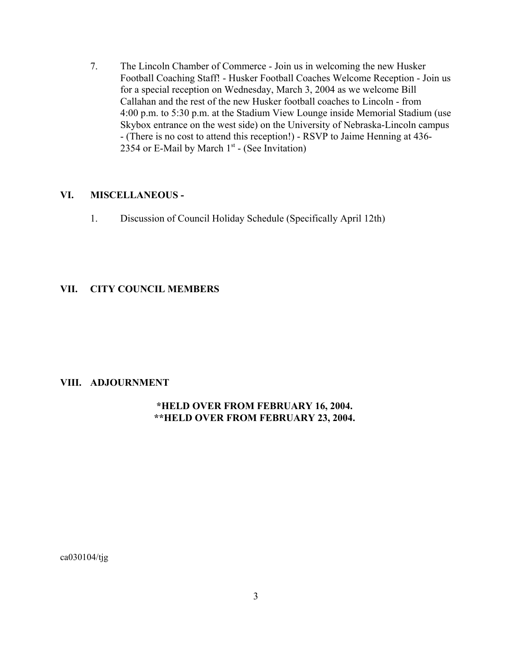7. The Lincoln Chamber of Commerce - Join us in welcoming the new Husker Football Coaching Staff! - Husker Football Coaches Welcome Reception - Join us for a special reception on Wednesday, March 3, 2004 as we welcome Bill Callahan and the rest of the new Husker football coaches to Lincoln - from 4:00 p.m. to 5:30 p.m. at the Stadium View Lounge inside Memorial Stadium (use Skybox entrance on the west side) on the University of Nebraska-Lincoln campus - (There is no cost to attend this reception!) - RSVP to Jaime Henning at 436- 2354 or E-Mail by March  $1<sup>st</sup>$  - (See Invitation)

#### **VI. MISCELLANEOUS -**

1. Discussion of Council Holiday Schedule (Specifically April 12th)

#### **VII. CITY COUNCIL MEMBERS**

#### **VIII. ADJOURNMENT**

## **\*HELD OVER FROM FEBRUARY 16, 2004. \*\*HELD OVER FROM FEBRUARY 23, 2004.**

ca030104/tjg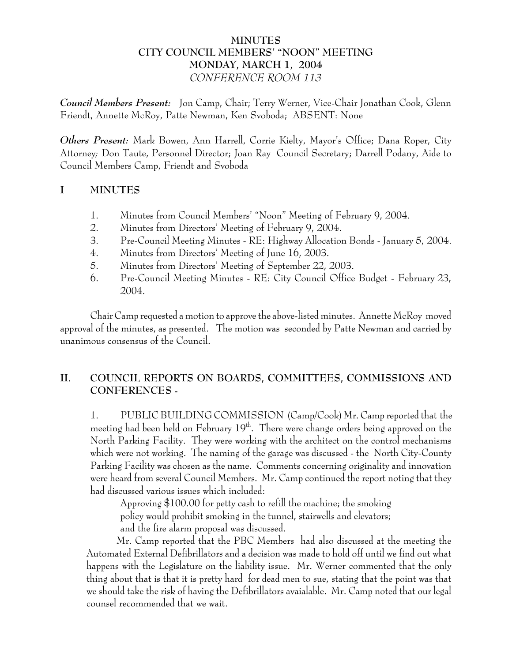# **MINUTES CITY COUNCIL MEMBERS' "NOON" MEETING MONDAY, MARCH 1, 2004** *CONFERENCE ROOM 113*

*Council Members Present:* Jon Camp, Chair; Terry Werner, Vice-Chair Jonathan Cook, Glenn Friendt, Annette McRoy, Patte Newman, Ken Svoboda; ABSENT: None

*Others Present:* Mark Bowen, Ann Harrell, Corrie Kielty, Mayor's Office; Dana Roper, City Attorney*;* Don Taute, Personnel Director; Joan Ray Council Secretary; Darrell Podany, Aide to Council Members Camp, Friendt and Svoboda

## **I MINUTES**

- 1. Minutes from Council Members' "Noon" Meeting of February 9, 2004.
- 2. Minutes from Directors' Meeting of February 9, 2004.
- 3. Pre-Council Meeting Minutes RE: Highway Allocation Bonds January 5, 2004.
- 4. Minutes from Directors' Meeting of June 16, 2003.
- 5. Minutes from Directors' Meeting of September 22, 2003.
- 6. Pre-Council Meeting Minutes RE: City Council Office Budget February 23, 2004.

Chair Camp requested a motion to approve the above-listed minutes. Annette McRoy moved approval of the minutes, as presented. The motion was seconded by Patte Newman and carried by unanimous consensus of the Council.

# **II. COUNCIL REPORTS ON BOARDS, COMMITTEES, COMMISSIONS AND CONFERENCES -**

1. PUBLIC BUILDING COMMISSION (Camp/Cook) Mr. Camp reported that the meeting had been held on February  $19<sup>th</sup>$ . There were change orders being approved on the North Parking Facility. They were working with the architect on the control mechanisms which were not working. The naming of the garage was discussed - the North City-County Parking Facility was chosen as the name. Comments concerning originality and innovation were heard from several Council Members. Mr. Camp continued the report noting that they had discussed various issues which included:

Approving \$100.00 for petty cash to refill the machine; the smoking policy would prohibit smoking in the tunnel, stairwells and elevators; and the fire alarm proposal was discussed.

Mr. Camp reported that the PBC Members had also discussed at the meeting the Automated External Defibrillators and a decision was made to hold off until we find out what happens with the Legislature on the liability issue. Mr. Werner commented that the only thing about that is that it is pretty hard for dead men to sue, stating that the point was that we should take the risk of having the Defibrillators avaialable. Mr. Camp noted that our legal counsel recommended that we wait.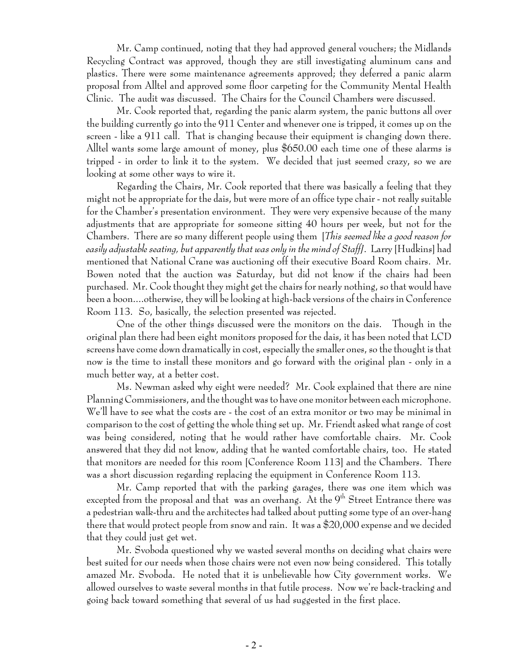Mr. Camp continued, noting that they had approved general vouchers; the Midlands Recycling Contract was approved, though they are still investigating aluminum cans and plastics. There were some maintenance agreements approved; they deferred a panic alarm proposal from Alltel and approved some floor carpeting for the Community Mental Health Clinic. The audit was discussed. The Chairs for the Council Chambers were discussed.

Mr. Cook reported that, regarding the panic alarm system, the panic buttons all over the building currently go into the 911 Center and whenever one is tripped, it comes up on the screen - like a 911 call. That is changing because their equipment is changing down there. Alltel wants some large amount of money, plus \$650.00 each time one of these alarms is tripped - in order to link it to the system. We decided that just seemed crazy, so we are looking at some other ways to wire it.

Regarding the Chairs, Mr. Cook reported that there was basically a feeling that they might not be appropriate for the dais, but were more of an office type chair - not really suitable for the Chamber's presentation environment. They were very expensive because of the many adjustments that are appropriate for someone sitting 40 hours per week, but not for the Chambers. There are so many different people using them [*This seemed like a good reason for easily adjustable seating, but apparently that was only in the mind of Staff]*. Larry [Hudkins] had mentioned that National Crane was auctioning off their executive Board Room chairs. Mr. Bowen noted that the auction was Saturday, but did not know if the chairs had been purchased. Mr. Cook thought they might get the chairs for nearly nothing, so that would have been a boon....otherwise, they will be looking at high-back versions of the chairs in Conference Room 113. So, basically, the selection presented was rejected.

One of the other things discussed were the monitors on the dais. Though in the original plan there had been eight monitors proposed for the dais, it has been noted that LCD screens have come down dramatically in cost, especially the smaller ones, so the thought is that now is the time to install these monitors and go forward with the original plan - only in a much better way, at a better cost.

Ms. Newman asked why eight were needed? Mr. Cook explained that there are nine Planning Commissioners, and the thought was to have one monitor between each microphone. We'll have to see what the costs are - the cost of an extra monitor or two may be minimal in comparison to the cost of getting the whole thing set up. Mr. Friendt asked what range of cost was being considered, noting that he would rather have comfortable chairs. Mr. Cook answered that they did not know, adding that he wanted comfortable chairs, too. He stated that monitors are needed for this room [Conference Room 113] and the Chambers. There was a short discussion regarding replacing the equipment in Conference Room 113.

Mr. Camp reported that with the parking garages, there was one item which was excepted from the proposal and that was an overhang. At the  $9<sup>th</sup>$  Street Entrance there was a pedestrian walk-thru and the architectes had talked about putting some type of an over-hang there that would protect people from snow and rain. It was a \$20,000 expense and we decided that they could just get wet.

Mr. Svoboda questioned why we wasted several months on deciding what chairs were best suited for our needs when those chairs were not even now being considered. This totally amazed Mr. Svoboda. He noted that it is unbelievable how City government works. We allowed ourselves to waste several months in that futile process. Now we're back-tracking and going back toward something that several of us had suggested in the first place.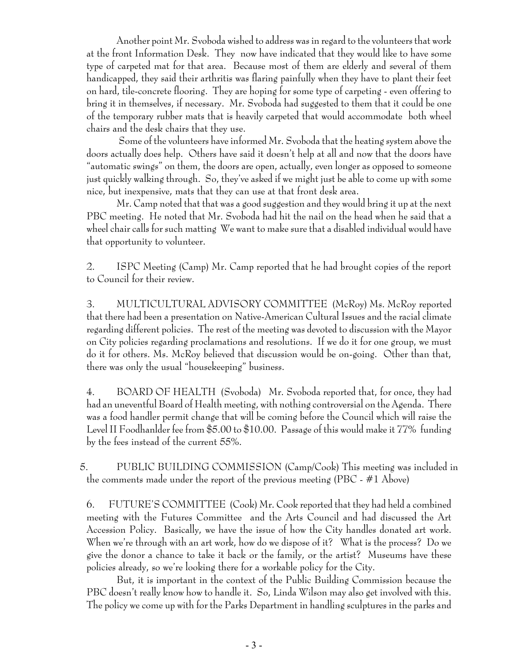Another point Mr. Svoboda wished to address was in regard to the volunteers that work at the front Information Desk. They now have indicated that they would like to have some type of carpeted mat for that area. Because most of them are elderly and several of them handicapped, they said their arthritis was flaring painfully when they have to plant their feet on hard, tile-concrete flooring. They are hoping for some type of carpeting - even offering to bring it in themselves, if necessary. Mr. Svoboda had suggested to them that it could be one of the temporary rubber mats that is heavily carpeted that would accommodate both wheel chairs and the desk chairs that they use.

 Some of the volunteers have informed Mr. Svoboda that the heating system above the doors actually does help. Others have said it doesn't help at all and now that the doors have "automatic swings" on them, the doors are open, actually, even longer as opposed to someone just quickly walking through. So, they've asked if we might just be able to come up with some nice, but inexpensive, mats that they can use at that front desk area.

Mr. Camp noted that that was a good suggestion and they would bring it up at the next PBC meeting. He noted that Mr. Svoboda had hit the nail on the head when he said that a wheel chair calls for such matting We want to make sure that a disabled individual would have that opportunity to volunteer.

2. ISPC Meeting (Camp) Mr. Camp reported that he had brought copies of the report to Council for their review.

3. MULTICULTURAL ADVISORY COMMITTEE (McRoy) Ms. McRoy reported that there had been a presentation on Native-American Cultural Issues and the racial climate regarding different policies. The rest of the meeting was devoted to discussion with the Mayor on City policies regarding proclamations and resolutions. If we do it for one group, we must do it for others. Ms. McRoy believed that discussion would be on-going. Other than that, there was only the usual "housekeeping" business.

4. BOARD OF HEALTH (Svoboda) Mr. Svoboda reported that, for once, they had had an uneventful Board of Health meeting, with nothing controversial on the Agenda. There was a food handler permit change that will be coming before the Council which will raise the Level II Foodhanlder fee from \$5.00 to \$10.00. Passage of this would make it 77% funding by the fees instead of the current 55%.

 5. PUBLIC BUILDING COMMISSION (Camp/Cook) This meeting was included in the comments made under the report of the previous meeting (PBC - #1 Above)

6. FUTURE'S COMMITTEE (Cook) Mr. Cook reported that they had held a combined meeting with the Futures Committee and the Arts Council and had discussed the Art Accession Policy. Basically, we have the issue of how the City handles donated art work. When we're through with an art work, how do we dispose of it? What is the process? Do we give the donor a chance to take it back or the family, or the artist? Museums have these policies already, so we're looking there for a workable policy for the City.

But, it is important in the context of the Public Building Commission because the PBC doesn't really know how to handle it. So, Linda Wilson may also get involved with this. The policy we come up with for the Parks Department in handling sculptures in the parks and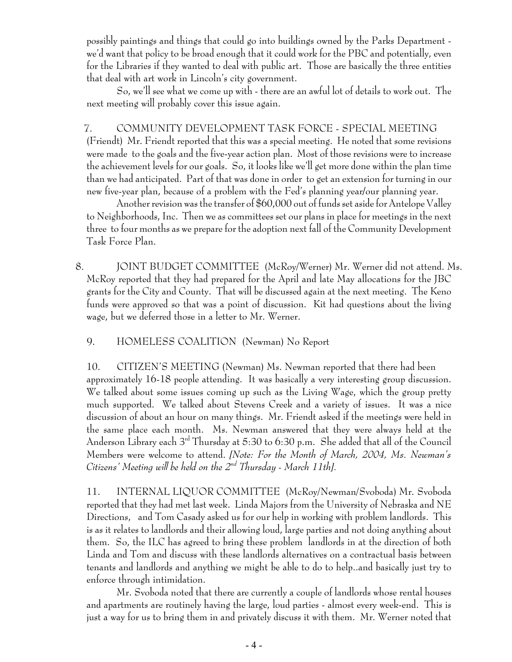possibly paintings and things that could go into buildings owned by the Parks Department we'd want that policy to be broad enough that it could work for the PBC and potentially, even for the Libraries if they wanted to deal with public art. Those are basically the three entities that deal with art work in Lincoln's city government.

So, we'll see what we come up with - there are an awful lot of details to work out. The next meeting will probably cover this issue again.

# 7. COMMUNITY DEVELOPMENT TASK FORCE - SPECIAL MEETING

(Friendt) Mr. Friendt reported that this was a special meeting. He noted that some revisions were made to the goals and the five-year action plan. Most of those revisions were to increase the achievement levels for our goals. So, it looks like we'll get more done within the plan time than we had anticipated. Part of that was done in order to get an extension for turning in our new five-year plan, because of a problem with the Fed's planning year**/**our planning year.

Another revision was the transfer of \$60,000 out of funds set aside for Antelope Valley to Neighborhoods, Inc. Then we as committees set our plans in place for meetings in the next three to four months as we prepare for the adoption next fall of the Community Development Task Force Plan.

 8. JOINT BUDGET COMMITTEE (McRoy/Werner) Mr. Werner did not attend. Ms. McRoy reported that they had prepared for the April and late May allocations for the JBC grants for the City and County. That will be discussed again at the next meeting. The Keno funds were approved so that was a point of discussion. Kit had questions about the living wage, but we deferred those in a letter to Mr. Werner.

9. HOMELESS COALITION (Newman) No Report

10. CITIZEN'S MEETING (Newman) Ms. Newman reported that there had been approximately 16-18 people attending. It was basically a very interesting group discussion. We talked about some issues coming up such as the Living Wage, which the group pretty much supported. We talked about Stevens Creek and a variety of issues. It was a nice discussion of about an hour on many things. Mr. Friendt asked if the meetings were held in the same place each month. Ms. Newman answered that they were always held at the Anderson Library each 3rd Thursday at 5:30 to 6:30 p.m. She added that all of the Council Members were welcome to attend. *[Note: For the Month of March, 2004, Ms. Newman's Citizens' Meeting will be held on the 2nd Thursday - March 11th].*

11. INTERNAL LIQUOR COMMITTEE (McRoy/Newman/Svoboda) Mr. Svoboda reported that they had met last week. Linda Majors from the University of Nebraska and NE Directions, and Tom Casady asked us for our help in working with problem landlords. This is as it relates to landlords and their allowing loud, large parties and not doing anything about them. So, the ILC has agreed to bring these problem landlords in at the direction of both Linda and Tom and discuss with these landlords alternatives on a contractual basis between tenants and landlords and anything we might be able to do to help..and basically just try to enforce through intimidation.

Mr. Svoboda noted that there are currently a couple of landlords whose rental houses and apartments are routinely having the large, loud parties - almost every week-end. This is just a way for us to bring them in and privately discuss it with them. Mr. Werner noted that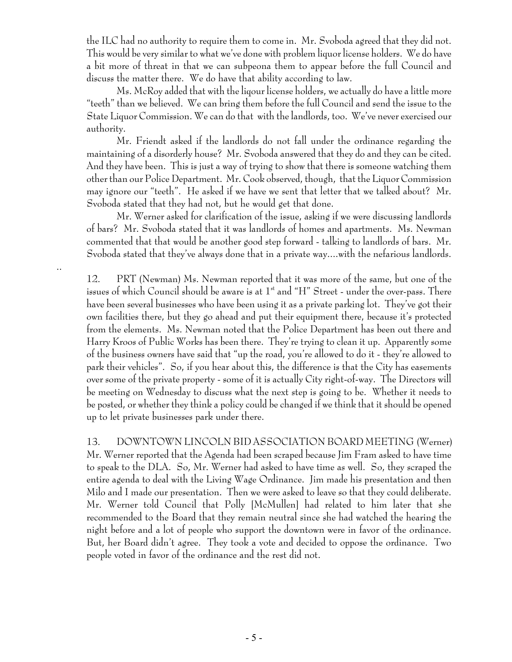the ILC had no authority to require them to come in. Mr. Svoboda agreed that they did not. This would be very similar to what we've done with problem liquor license holders. We do have a bit more of threat in that we can subpeona them to appear before the full Council and discuss the matter there. We do have that ability according to law.

Ms. McRoy added that with the liqour license holders, we actually do have a little more "teeth" than we believed. We can bring them before the full Council and send the issue to the State Liquor Commission. We can do that with the landlords, too. We've never exercised our authority.

Mr. Friendt asked if the landlords do not fall under the ordinance regarding the maintaining of a disorderly house? Mr. Svoboda answered that they do and they can be cited. And they have been. This is just a way of trying to show that there is someone watching them other than our Police Department. Mr. Cook observed, though, that the Liquor Commission may ignore our "teeth". He asked if we have we sent that letter that we talked about? Mr. Svoboda stated that they had not, but he would get that done.

Mr. Werner asked for clarification of the issue, asking if we were discussing landlords of bars? Mr. Svoboda stated that it was landlords of homes and apartments. Ms. Newman commented that that would be another good step forward - talking to landlords of bars. Mr. Svoboda stated that they've always done that in a private way....with the nefarious landlords.

..

12. PRT (Newman) Ms. Newman reported that it was more of the same, but one of the issues of which Council should be aware is at  $1<sup>st</sup>$  and "H" Street - under the over-pass. There have been several businesses who have been using it as a private parking lot. They've got their own facilities there, but they go ahead and put their equipment there, because it's protected from the elements. Ms. Newman noted that the Police Department has been out there and Harry Kroos of Public Works has been there. They're trying to clean it up. Apparently some of the business owners have said that "up the road, you're allowed to do it - they're allowed to park their vehicles". So, if you hear about this, the difference is that the City has easements over some of the private property - some of it is actually City right-of-way. The Directors will be meeting on Wednesday to discuss what the next step is going to be. Whether it needs to be posted, or whether they think a policy could be changed if we think that it should be opened up to let private businesses park under there.

13. DOWNTOWN LINCOLN BID ASSOCIATION BOARD MEETING (Werner) Mr. Werner reported that the Agenda had been scraped because Jim Fram asked to have time to speak to the DLA. So, Mr. Werner had asked to have time as well. So, they scraped the entire agenda to deal with the Living Wage Ordinance. Jim made his presentation and then Milo and I made our presentation. Then we were asked to leave so that they could deliberate. Mr. Werner told Council that Polly [McMullen] had related to him later that she recommended to the Board that they remain neutral since she had watched the hearing the night before and a lot of people who support the downtown were in favor of the ordinance. But, her Board didn't agree. They took a vote and decided to oppose the ordinance. Two people voted in favor of the ordinance and the rest did not.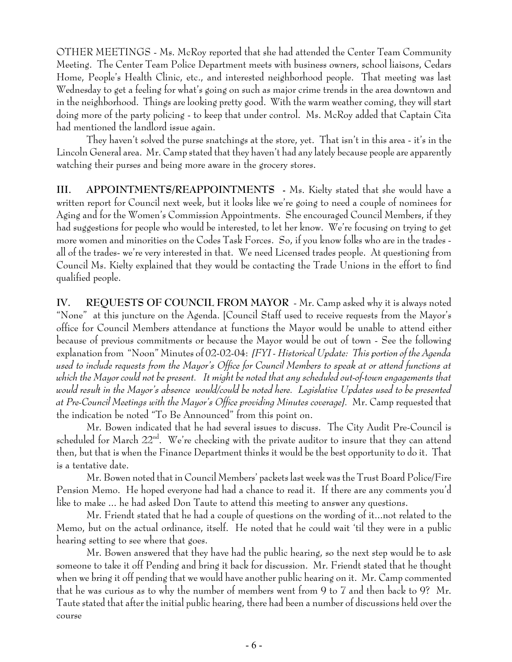OTHER MEETINGS - Ms. McRoy reported that she had attended the Center Team Community Meeting. The Center Team Police Department meets with business owners, school liaisons, Cedars Home, People's Health Clinic, etc., and interested neighborhood people. That meeting was last Wednesday to get a feeling for what's going on such as major crime trends in the area downtown and in the neighborhood. Things are looking pretty good. With the warm weather coming, they will start doing more of the party policing - to keep that under control. Ms. McRoy added that Captain Cita had mentioned the landlord issue again.

They haven't solved the purse snatchings at the store, yet. That isn't in this area - it's in the Lincoln General area. Mr. Camp stated that they haven't had any lately because people are apparently watching their purses and being more aware in the grocery stores.

**III. APPOINTMENTS/REAPPOINTMENTS -** Ms. Kielty stated that she would have a written report for Council next week, but it looks like we're going to need a couple of nominees for Aging and for the Women's Commission Appointments. She encouraged Council Members, if they had suggestions for people who would be interested, to let her know. We're focusing on trying to get more women and minorities on the Codes Task Forces. So, if you know folks who are in the trades all of the trades- we're very interested in that. We need Licensed trades people. At questioning from Council Ms. Kielty explained that they would be contacting the Trade Unions in the effort to find qualified people.

**IV. REQUESTS OF COUNCIL FROM MAYOR** - Mr. Camp asked why it is always noted "None" at this juncture on the Agenda. [Council Staff used to receive requests from the Mayor's office for Council Members attendance at functions the Mayor would be unable to attend either because of previous commitments or because the Mayor would be out of town - See the following explanation from "Noon" Minutes of 02-02-04: *[FYI - Historical Update: This portion of the Agenda used to include requests from the Mayor's Office for Council Members to speak at or attend functions at which the Mayor could not be present. It might be noted that any scheduled out-of-town engagements that would result in the Mayor's absence would/could be noted here. Legislative Updates used to be presented at Pre-Council Meetings with the Mayor's Office providing Minutes coverage].* Mr. Camp requested that the indication be noted "To Be Announced" from this point on.

Mr. Bowen indicated that he had several issues to discuss. The City Audit Pre-Council is scheduled for March  $22^{\text{nd}}$ . We're checking with the private auditor to insure that they can attend then, but that is when the Finance Department thinks it would be the best opportunity to do it. That is a tentative date.

Mr. Bowen noted that in Council Members' packets last week was the Trust Board Police/Fire Pension Memo. He hoped everyone had had a chance to read it. If there are any comments you'd like to make ... he had asked Don Taute to attend this meeting to answer any questions.

Mr. Friendt stated that he had a couple of questions on the wording of it...not related to the Memo, but on the actual ordinance, itself. He noted that he could wait 'til they were in a public hearing setting to see where that goes.

Mr. Bowen answered that they have had the public hearing, so the next step would be to ask someone to take it off Pending and bring it back for discussion. Mr. Friendt stated that he thought when we bring it off pending that we would have another public hearing on it. Mr. Camp commented that he was curious as to why the number of members went from 9 to 7 and then back to 9? Mr. Taute stated that after the initial public hearing, there had been a number of discussions held over the course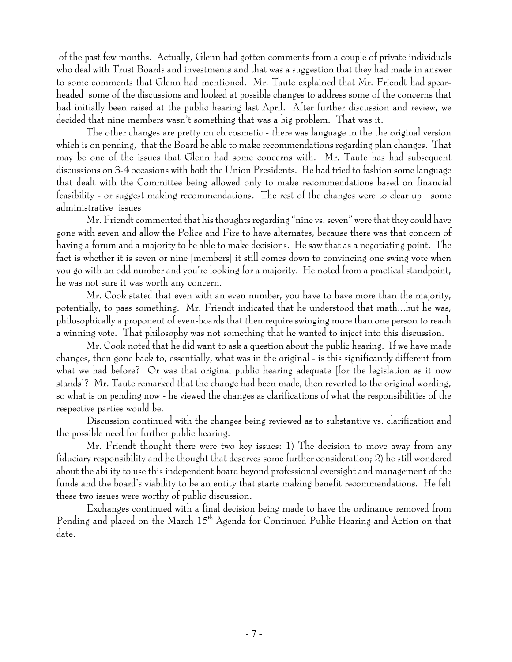of the past few months. Actually, Glenn had gotten comments from a couple of private individuals who deal with Trust Boards and investments and that was a suggestion that they had made in answer to some comments that Glenn had mentioned. Mr. Taute explained that Mr. Friendt had spearheaded some of the discussions and looked at possible changes to address some of the concerns that had initially been raised at the public hearing last April. After further discussion and review, we decided that nine members wasn't something that was a big problem. That was it.

The other changes are pretty much cosmetic - there was language in the the original version which is on pending, that the Board be able to make recommendations regarding plan changes. That may be one of the issues that Glenn had some concerns with. Mr. Taute has had subsequent discussions on 3-4 occasions with both the Union Presidents. He had tried to fashion some language that dealt with the Committee being allowed only to make recommendations based on financial feasibility - or suggest making recommendations. The rest of the changes were to clear up some administrative issues

Mr. Friendt commented that his thoughts regarding "nine vs. seven" were that they could have gone with seven and allow the Police and Fire to have alternates, because there was that concern of having a forum and a majority to be able to make decisions. He saw that as a negotiating point. The fact is whether it is seven or nine [members] it still comes down to convincing one swing vote when you go with an odd number and you're looking for a majority. He noted from a practical standpoint, he was not sure it was worth any concern.

Mr. Cook stated that even with an even number, you have to have more than the majority, potentially, to pass something. Mr. Friendt indicated that he understood that math...but he was, philosophically a proponent of even-boards that then require swinging more than one person to reach a winning vote. That philosophy was not something that he wanted to inject into this discussion.

Mr. Cook noted that he did want to ask a question about the public hearing. If we have made changes, then gone back to, essentially, what was in the original - is this significantly different from what we had before? Or was that original public hearing adequate [for the legislation as it now stands]? Mr. Taute remarked that the change had been made, then reverted to the original wording, so what is on pending now - he viewed the changes as clarifications of what the responsibilities of the respective parties would be.

Discussion continued with the changes being reviewed as to substantive vs. clarification and the possible need for further public hearing.

Mr. Friendt thought there were two key issues: 1) The decision to move away from any fiduciary responsibility and he thought that deserves some further consideration; 2) he still wondered about the ability to use this independent board beyond professional oversight and management of the funds and the board's viability to be an entity that starts making benefit recommendations. He felt these two issues were worthy of public discussion.

Exchanges continued with a final decision being made to have the ordinance removed from Pending and placed on the March 15<sup>th</sup> Agenda for Continued Public Hearing and Action on that date.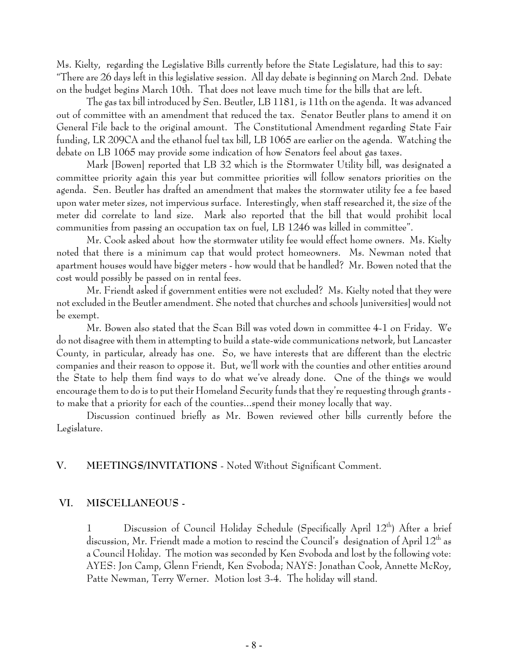Ms. Kielty, regarding the Legislative Bills currently before the State Legislature, had this to say: "There are 26 days left in this legislative session. All day debate is beginning on March 2nd. Debate on the budget begins March 10th. That does not leave much time for the bills that are left.

The gas tax bill introduced by Sen. Beutler, LB 1181, is 11th on the agenda. It was advanced out of committee with an amendment that reduced the tax. Senator Beutler plans to amend it on General File back to the original amount. The Constitutional Amendment regarding State Fair funding, LR 209CA and the ethanol fuel tax bill, LB 1065 are earlier on the agenda. Watching the debate on LB 1065 may provide some indication of how Senators feel about gas taxes.

Mark [Bowen] reported that LB 32 which is the Stormwater Utility bill, was designated a committee priority again this year but committee priorities will follow senators priorities on the agenda. Sen. Beutler has drafted an amendment that makes the stormwater utility fee a fee based upon water meter sizes, not impervious surface. Interestingly, when staff researched it, the size of the meter did correlate to land size. Mark also reported that the bill that would prohibit local communities from passing an occupation tax on fuel, LB 1246 was killed in committee".

Mr. Cook asked about how the stormwater utility fee would effect home owners. Ms. Kielty noted that there is a minimum cap that would protect homeowners. Ms. Newman noted that apartment houses would have bigger meters - how would that be handled? Mr. Bowen noted that the cost would possibly be passed on in rental fees.

Mr. Friendt asked if government entities were not excluded? Ms. Kielty noted that they were not excluded in the Beutler amendment. She noted that churches and schools ]universities] would not be exempt.

Mr. Bowen also stated that the Scan Bill was voted down in committee 4-1 on Friday. We do not disagree with them in attempting to build a state-wide communications network, but Lancaster County, in particular, already has one. So, we have interests that are different than the electric companies and their reason to oppose it. But, we'll work with the counties and other entities around the State to help them find ways to do what we've already done. One of the things we would encourage them to do is to put their Homeland Security funds that they're requesting through grants to make that a priority for each of the counties...spend their money locally that way.

Discussion continued briefly as Mr. Bowen reviewed other bills currently before the Legislature.

## **V. MEETINGS/INVITATIONS** - Noted Without Significant Comment.

## **VI. MISCELLANEOUS -**

1 Discussion of Council Holiday Schedule (Specifically April 12<sup>th</sup>) After a brief discussion, Mr. Friendt made a motion to rescind the Council's designation of April  $12^{\rm th}$  as a Council Holiday. The motion was seconded by Ken Svoboda and lost by the following vote: AYES: Jon Camp, Glenn Friendt, Ken Svoboda; NAYS: Jonathan Cook, Annette McRoy, Patte Newman, Terry Werner. Motion lost 3-4. The holiday will stand.